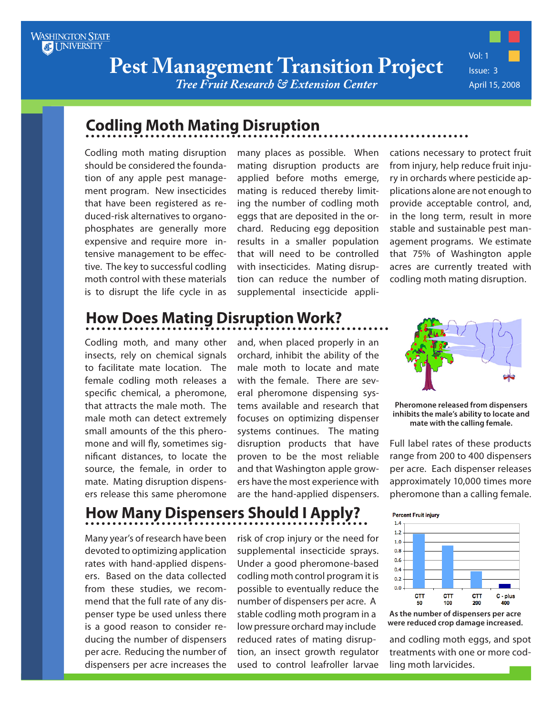**Pest Management Transition Project**

*Tree Fruit Research & Extension Center*

Vol: 1 Issue: 3 April 15, 2008

### **Codling Moth Mating Disruption**

Codling moth mating disruption should be considered the foundation of any apple pest management program. New insecticides that have been registered as reduced-risk alternatives to organophosphates are generally more expensive and require more intensive management to be effective. The key to successful codling moth control with these materials is to disrupt the life cycle in as many places as possible. When mating disruption products are applied before moths emerge, mating is reduced thereby limiting the number of codling moth eggs that are deposited in the orchard. Reducing egg deposition results in a smaller population that will need to be controlled with insecticides. Mating disruption can reduce the number of supplemental insecticide applications necessary to protect fruit from injury, help reduce fruit injury in orchards where pesticide applications alone are not enough to provide acceptable control, and, in the long term, result in more stable and sustainable pest management programs. We estimate that 75% of Washington apple acres are currently treated with codling moth mating disruption.

## **How Does Mating Disruption Work?**

Codling moth, and many other insects, rely on chemical signals to facilitate mate location. The female codling moth releases a specific chemical, a pheromone, that attracts the male moth. The male moth can detect extremely small amounts of the this pheromone and will fly, sometimes significant distances, to locate the source, the female, in order to mate. Mating disruption dispensers release this same pheromone

and, when placed properly in an orchard, inhibit the ability of the male moth to locate and mate with the female. There are several pheromone dispensing systems available and research that focuses on optimizing dispenser systems continues. The mating disruption products that have proven to be the most reliable and that Washington apple growers have the most experience with are the hand-applied dispensers.



**Pheromone released from dispensers inhibits the male's ability to locate and mate with the calling female.**

Full label rates of these products range from 200 to 400 dispensers per acre. Each dispenser releases approximately 10,000 times more pheromone than a calling female.

# **How Many Dispensers Should I Apply?**

Many year's of research have been devoted to optimizing application rates with hand-applied dispensers. Based on the data collected from these studies, we recommend that the full rate of any dispenser type be used unless there is a good reason to consider reducing the number of dispensers per acre. Reducing the number of dispensers per acre increases the

risk of crop injury or the need for supplemental insecticide sprays. Under a good pheromone-based codling moth control program it is possible to eventually reduce the number of dispensers per acre. A stable codling moth program in a low pressure orchard may include reduced rates of mating disruption, an insect growth regulator used to control leafroller larvae



**As the number of dispensers per acre were reduced crop damage increased.**

and codling moth eggs, and spot treatments with one or more codling moth larvicides.